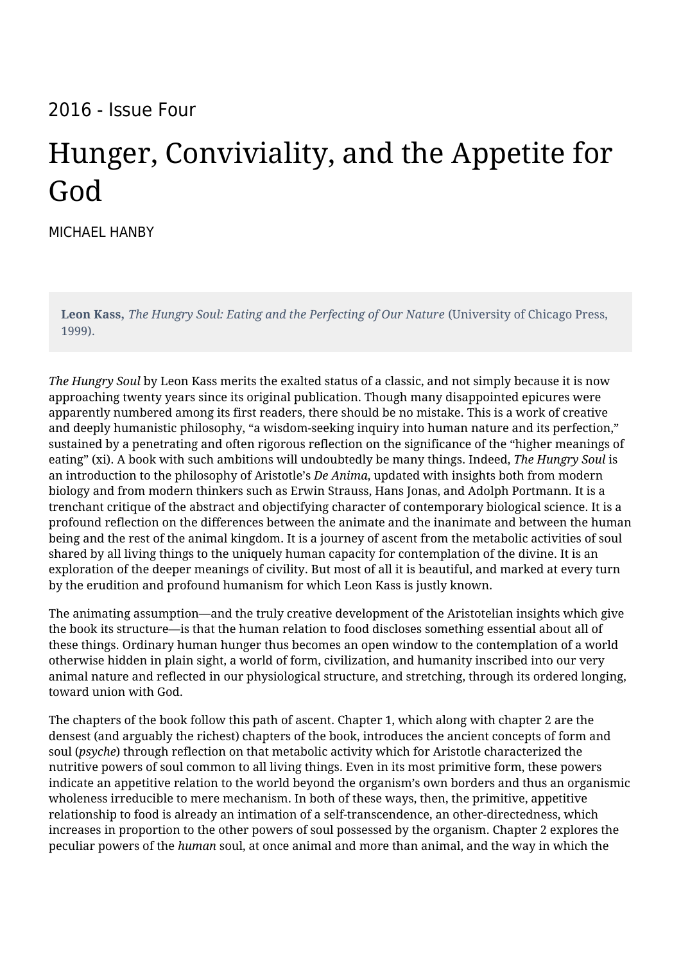## 2016 - Issue Four

## Hunger, Conviviality, and the Appetite for God

[MICHAEL HANBY](https://humanumreview.com/contributors/michael-hanby)

**Leon Kass**, *The Hungry Soul: Eating and the Perfecting of Our Nature* (University of Chicago Press, 1999).

*The Hungry Soul* by Leon Kass merits the exalted status of a classic, and not simply because it is now approaching twenty years since its original publication. Though many disappointed epicures were apparently numbered among its first readers, there should be no mistake. This is a work of creative and deeply humanistic philosophy, "a wisdom-seeking inquiry into human nature and its perfection," sustained by a penetrating and often rigorous reflection on the significance of the "higher meanings of eating" (xi). A book with such ambitions will undoubtedly be many things. Indeed, *The Hungry Soul* is an introduction to the philosophy of Aristotle's *De Anima*, updated with insights both from modern biology and from modern thinkers such as Erwin Strauss, Hans Jonas, and Adolph Portmann. It is a trenchant critique of the abstract and objectifying character of contemporary biological science. It is a profound reflection on the differences between the animate and the inanimate and between the human being and the rest of the animal kingdom. It is a journey of ascent from the metabolic activities of soul shared by all living things to the uniquely human capacity for contemplation of the divine. It is an exploration of the deeper meanings of civility. But most of all it is beautiful, and marked at every turn by the erudition and profound humanism for which Leon Kass is justly known.

The animating assumption—and the truly creative development of the Aristotelian insights which give the book its structure—is that the human relation to food discloses something essential about all of these things. Ordinary human hunger thus becomes an open window to the contemplation of a world otherwise hidden in plain sight, a world of form, civilization, and humanity inscribed into our very animal nature and reflected in our physiological structure, and stretching, through its ordered longing, toward union with God.

The chapters of the book follow this path of ascent. Chapter 1, which along with chapter 2 are the densest (and arguably the richest) chapters of the book, introduces the ancient concepts of form and soul (*psyche*) through reflection on that metabolic activity which for Aristotle characterized the nutritive powers of soul common to all living things. Even in its most primitive form, these powers indicate an appetitive relation to the world beyond the organism's own borders and thus an organismic wholeness irreducible to mere mechanism. In both of these ways, then, the primitive, appetitive relationship to food is already an intimation of a self-transcendence, an other-directedness, which increases in proportion to the other powers of soul possessed by the organism. Chapter 2 explores the peculiar powers of the *human* soul, at once animal and more than animal, and the way in which the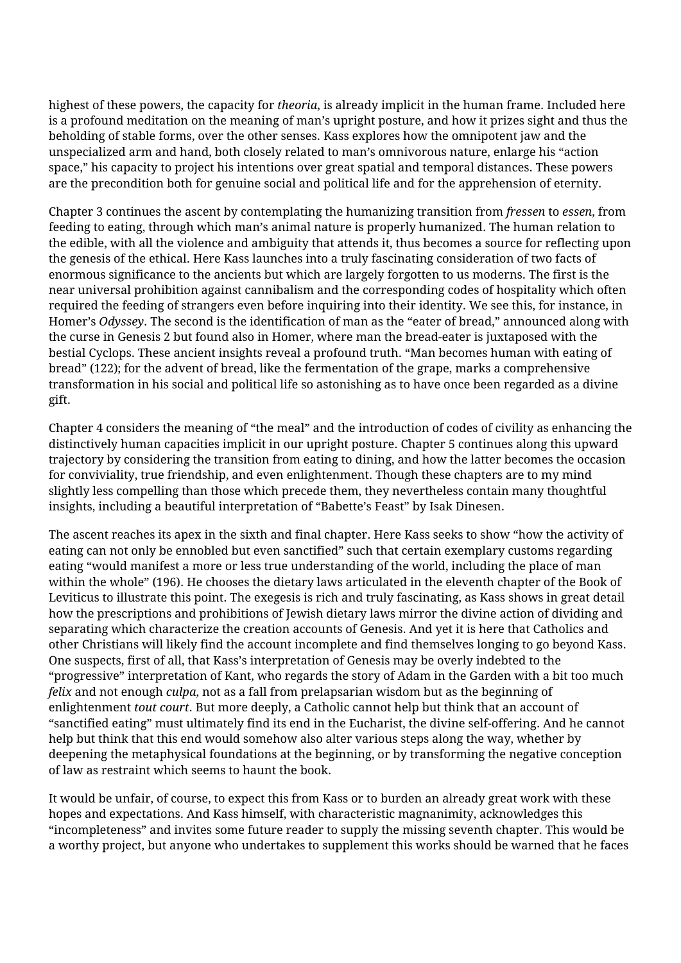highest of these powers, the capacity for *theoria*, is already implicit in the human frame. Included here is a profound meditation on the meaning of man's upright posture, and how it prizes sight and thus the beholding of stable forms, over the other senses. Kass explores how the omnipotent jaw and the unspecialized arm and hand, both closely related to man's omnivorous nature, enlarge his "action space," his capacity to project his intentions over great spatial and temporal distances. These powers are the precondition both for genuine social and political life and for the apprehension of eternity.

Chapter 3 continues the ascent by contemplating the humanizing transition from *fressen* to *essen*, from feeding to eating, through which man's animal nature is properly humanized. The human relation to the edible, with all the violence and ambiguity that attends it, thus becomes a source for reflecting upon the genesis of the ethical. Here Kass launches into a truly fascinating consideration of two facts of enormous significance to the ancients but which are largely forgotten to us moderns. The first is the near universal prohibition against cannibalism and the corresponding codes of hospitality which often required the feeding of strangers even before inquiring into their identity. We see this, for instance, in Homer's *Odyssey*. The second is the identification of man as the "eater of bread," announced along with the curse in Genesis 2 but found also in Homer, where man the bread-eater is juxtaposed with the bestial Cyclops. These ancient insights reveal a profound truth. "Man becomes human with eating of bread" (122); for the advent of bread, like the fermentation of the grape, marks a comprehensive transformation in his social and political life so astonishing as to have once been regarded as a divine gift.

Chapter 4 considers the meaning of "the meal" and the introduction of codes of civility as enhancing the distinctively human capacities implicit in our upright posture. Chapter 5 continues along this upward trajectory by considering the transition from eating to dining, and how the latter becomes the occasion for conviviality, true friendship, and even enlightenment. Though these chapters are to my mind slightly less compelling than those which precede them, they nevertheless contain many thoughtful insights, including a beautiful interpretation of "Babette's Feast" by Isak Dinesen.

The ascent reaches its apex in the sixth and final chapter. Here Kass seeks to show "how the activity of eating can not only be ennobled but even sanctified" such that certain exemplary customs regarding eating "would manifest a more or less true understanding of the world, including the place of man within the whole" (196). He chooses the dietary laws articulated in the eleventh chapter of the Book of Leviticus to illustrate this point. The exegesis is rich and truly fascinating, as Kass shows in great detail how the prescriptions and prohibitions of Jewish dietary laws mirror the divine action of dividing and separating which characterize the creation accounts of Genesis. And yet it is here that Catholics and other Christians will likely find the account incomplete and find themselves longing to go beyond Kass. One suspects, first of all, that Kass's interpretation of Genesis may be overly indebted to the "progressive" interpretation of Kant, who regards the story of Adam in the Garden with a bit too much *felix* and not enough *culpa*, not as a fall from prelapsarian wisdom but as the beginning of enlightenment *tout court*. But more deeply, a Catholic cannot help but think that an account of "sanctified eating" must ultimately find its end in the Eucharist, the divine self-offering. And he cannot help but think that this end would somehow also alter various steps along the way, whether by deepening the metaphysical foundations at the beginning, or by transforming the negative conception of law as restraint which seems to haunt the book.

It would be unfair, of course, to expect this from Kass or to burden an already great work with these hopes and expectations. And Kass himself, with characteristic magnanimity, acknowledges this "incompleteness" and invites some future reader to supply the missing seventh chapter. This would be a worthy project, but anyone who undertakes to supplement this works should be warned that he faces